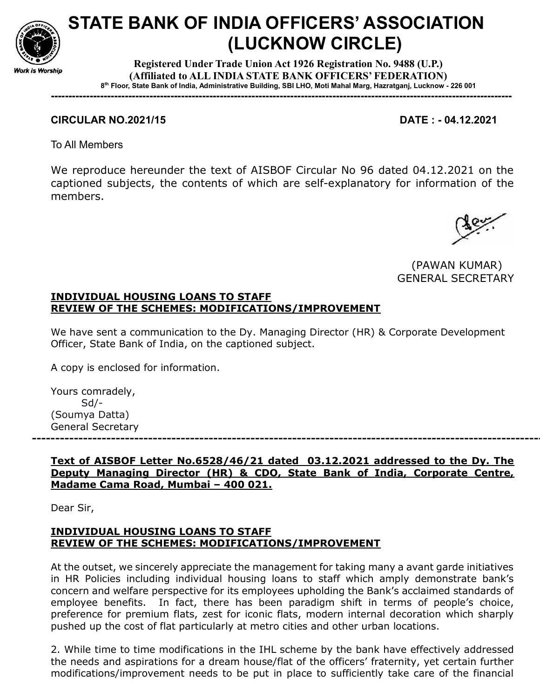

# STATE BANK OF INDIA OFFICERS' ASSOCIATION (LUCKNOW CIRCLE)

Registered Under Trade Union Act 1926 Registration No. 9488 (U.P.) (Affiliated to ALL INDIA STATE BANK OFFICERS' FEDERATION) 8 th Floor, State Bank of India, Administrative Building, SBI LHO, Moti Mahal Marg, Hazratganj, Lucknow - 226 001

-----------------------------------------------------------------------------------------------------------------------------------

# CIRCULAR NO.2021/15 DATE : - 04.12.2021

To All Members

We reproduce hereunder the text of AISBOF Circular No 96 dated 04.12.2021 on the captioned subjects, the contents of which are self-explanatory for information of the members.



(PAWAN KUMAR) GENERAL SECRETARY

# INDIVIDUAL HOUSING LOANS TO STAFF REVIEW OF THE SCHEMES: MODIFICATIONS/IMPROVEMENT

We have sent a communication to the Dy. Managing Director (HR) & Corporate Development Officer, State Bank of India, on the captioned subject.

A copy is enclosed for information.

Yours comradely, Sd/- (Soumya Datta) General Secretary

--------------------------------------------------------------------------------------------------------------

## Text of AISBOF Letter No.6528/46/21 dated 03.12.2021 addressed to the Dy. The Deputy Managing Director (HR) & CDO, State Bank of India, Corporate Centre, Madame Cama Road, Mumbai – 400 021.

Dear Sir,

## INDIVIDUAL HOUSING LOANS TO STAFF REVIEW OF THE SCHEMES: MODIFICATIONS/IMPROVEMENT

At the outset, we sincerely appreciate the management for taking many a avant garde initiatives in HR Policies including individual housing loans to staff which amply demonstrate bank's concern and welfare perspective for its employees upholding the Bank's acclaimed standards of employee benefits. In fact, there has been paradigm shift in terms of people's choice, preference for premium flats, zest for iconic flats, modern internal decoration which sharply pushed up the cost of flat particularly at metro cities and other urban locations.

2. While time to time modifications in the IHL scheme by the bank have effectively addressed the needs and aspirations for a dream house/flat of the officers' fraternity, yet certain further modifications/improvement needs to be put in place to sufficiently take care of the financial